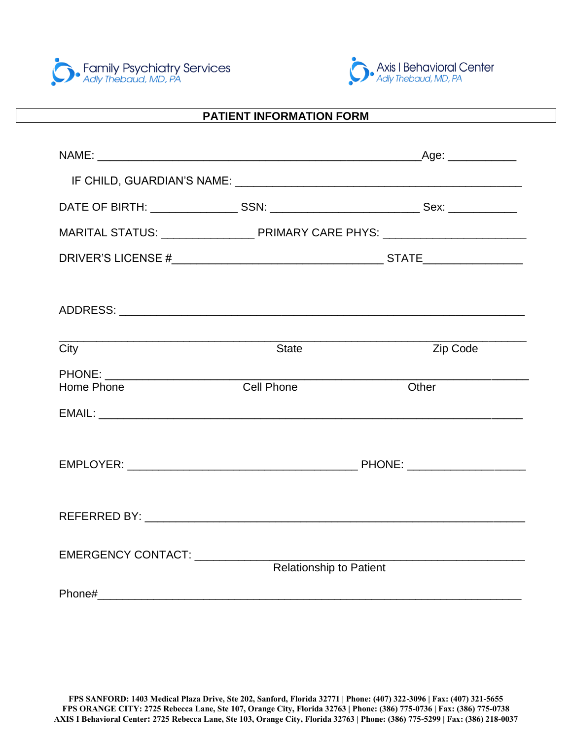



#### $\overline{a}$ **PATIENT INFORMATION FORM**

| City                                          | <b>State</b>                   | Zip Code |  |
|-----------------------------------------------|--------------------------------|----------|--|
| PHONE: ________________________<br>Home Phone | <b>Cell Phone</b>              | Other    |  |
|                                               |                                |          |  |
|                                               |                                |          |  |
|                                               |                                |          |  |
|                                               |                                |          |  |
|                                               |                                |          |  |
| EMERGENCY CONTACT: ___________                |                                |          |  |
|                                               | <b>Relationship to Patient</b> |          |  |
|                                               |                                |          |  |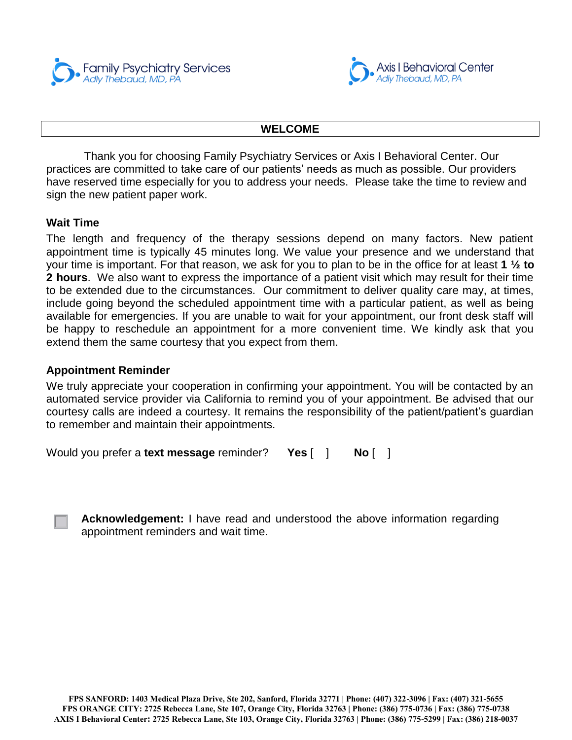Family Psychiatry Services<br>Adly Thebaud, MD, PA



#### **WELCOME**

Thank you for choosing Family Psychiatry Services or Axis I Behavioral Center. Our practices are committed to take care of our patients' needs as much as possible. Our providers have reserved time especially for you to address your needs. Please take the time to review and sign the new patient paper work.

#### **Wait Time**

The length and frequency of the therapy sessions depend on many factors. New patient appointment time is typically 45 minutes long. We value your presence and we understand that your time is important. For that reason, we ask for you to plan to be in the office for at least **1 ½ to 2 hours**. We also want to express the importance of a patient visit which may result for their time to be extended due to the circumstances. Our commitment to deliver quality care may, at times, include going beyond the scheduled appointment time with a particular patient, as well as being available for emergencies. If you are unable to wait for your appointment, our front desk staff will be happy to reschedule an appointment for a more convenient time. We kindly ask that you extend them the same courtesy that you expect from them.

#### **Appointment Reminder**

We truly appreciate your cooperation in confirming your appointment. You will be contacted by an automated service provider via California to remind you of your appointment. Be advised that our courtesy calls are indeed a courtesy. It remains the responsibility of the patient/patient's guardian to remember and maintain their appointments.

```
Would you prefer a text message reminder? Yes \begin{bmatrix} 1 \\ 1 \end{bmatrix} No \begin{bmatrix} 1 \\ 1 \end{bmatrix}
```
**Acknowledgement:** I have read and understood the above information regarding appointment reminders and wait time.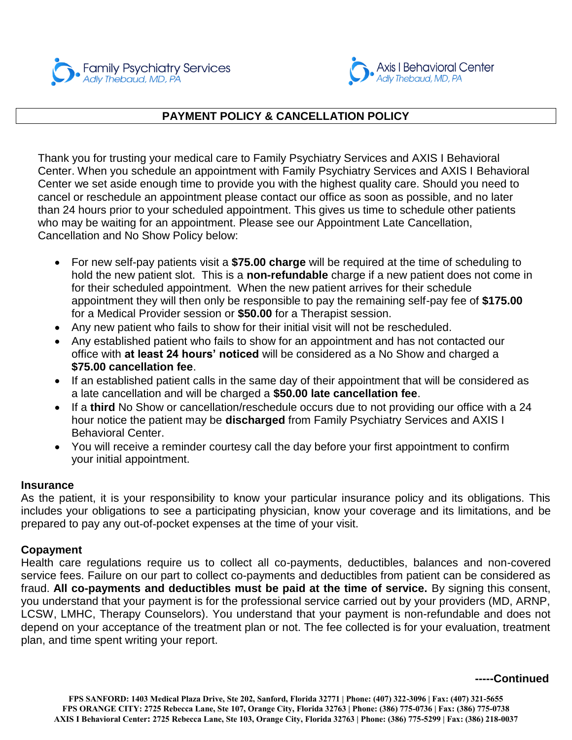



#### $\overline{a}$ **PAYMENT POLICY & CANCELLATION POLICY**

Thank you for trusting your medical care to Family Psychiatry Services and AXIS I Behavioral Center. When you schedule an appointment with Family Psychiatry Services and AXIS I Behavioral Center we set aside enough time to provide you with the highest quality care. Should you need to cancel or reschedule an appointment please contact our office as soon as possible, and no later than 24 hours prior to your scheduled appointment. This gives us time to schedule other patients who may be waiting for an appointment. Please see our Appointment Late Cancellation, Cancellation and No Show Policy below:

- For new self-pay patients visit a **\$75.00 charge** will be required at the time of scheduling to hold the new patient slot. This is a **non-refundable** charge if a new patient does not come in for their scheduled appointment. When the new patient arrives for their schedule appointment they will then only be responsible to pay the remaining self-pay fee of **\$175.00** for a Medical Provider session or **\$50.00** for a Therapist session.
- Any new patient who fails to show for their initial visit will not be rescheduled.
- Any established patient who fails to show for an appointment and has not contacted our office with **at least 24 hours' noticed** will be considered as a No Show and charged a **\$75.00 cancellation fee**.
- If an established patient calls in the same day of their appointment that will be considered as a late cancellation and will be charged a **\$50.00 late cancellation fee**.
- If a **third** No Show or cancellation/reschedule occurs due to not providing our office with a 24 hour notice the patient may be **discharged** from Family Psychiatry Services and AXIS I Behavioral Center.
- You will receive a reminder courtesy call the day before your first appointment to confirm your initial appointment.

#### **Insurance**

As the patient, it is your responsibility to know your particular insurance policy and its obligations. This includes your obligations to see a participating physician, know your coverage and its limitations, and be prepared to pay any out-of-pocket expenses at the time of your visit.

#### **Copayment**

Health care regulations require us to collect all co-payments, deductibles, balances and non-covered service fees. Failure on our part to collect co-payments and deductibles from patient can be considered as fraud. **All co-payments and deductibles must be paid at the time of service.** By signing this consent, you understand that your payment is for the professional service carried out by your providers (MD, ARNP, LCSW, LMHC, Therapy Counselors). You understand that your payment is non-refundable and does not depend on your acceptance of the treatment plan or not. The fee collected is for your evaluation, treatment plan, and time spent writing your report.

#### **-----Continued**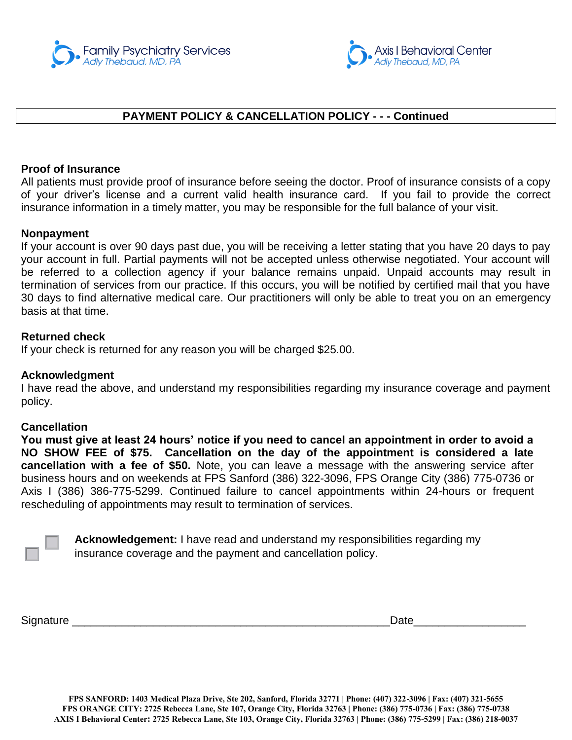



#### $\overline{a}$ **PAYMENT POLICY & CANCELLATION POLICY - - - Continued**

#### **Proof of Insurance**

All patients must provide proof of insurance before seeing the doctor. Proof of insurance consists of a copy of your driver's license and a current valid health insurance card. If you fail to provide the correct insurance information in a timely matter, you may be responsible for the full balance of your visit.

#### **Nonpayment**

If your account is over 90 days past due, you will be receiving a letter stating that you have 20 days to pay your account in full. Partial payments will not be accepted unless otherwise negotiated. Your account will be referred to a collection agency if your balance remains unpaid. Unpaid accounts may result in termination of services from our practice. If this occurs, you will be notified by certified mail that you have 30 days to find alternative medical care. Our practitioners will only be able to treat you on an emergency basis at that time.

#### **Returned check**

If your check is returned for any reason you will be charged \$25.00.

#### **Acknowledgment**

I have read the above, and understand my responsibilities regarding my insurance coverage and payment policy.

#### **Cancellation**

You must give at least 24 hours' notice if you need to cancel an appointment in order to avoid a **NO SHOW FEE of \$75. Cancellation on the day of the appointment is considered a late cancellation with a fee of \$50.** Note, you can leave a message with the answering service after business hours and on weekends at FPS Sanford (386) 322-3096, FPS Orange City (386) 775-0736 or Axis I (386) 386-775-5299. Continued failure to cancel appointments within 24-hours or frequent rescheduling of appointments may result to termination of services.

**Acknowledgement:** I have read and understand my responsibilities regarding my insurance coverage and the payment and cancellation policy.

Signature \_\_\_\_\_\_\_\_\_\_\_\_\_\_\_\_\_\_\_\_\_\_\_\_\_\_\_\_\_\_\_\_\_\_\_\_\_\_\_\_\_\_\_\_\_\_\_\_\_\_\_Date\_\_\_\_\_\_\_\_\_\_\_\_\_\_\_\_\_\_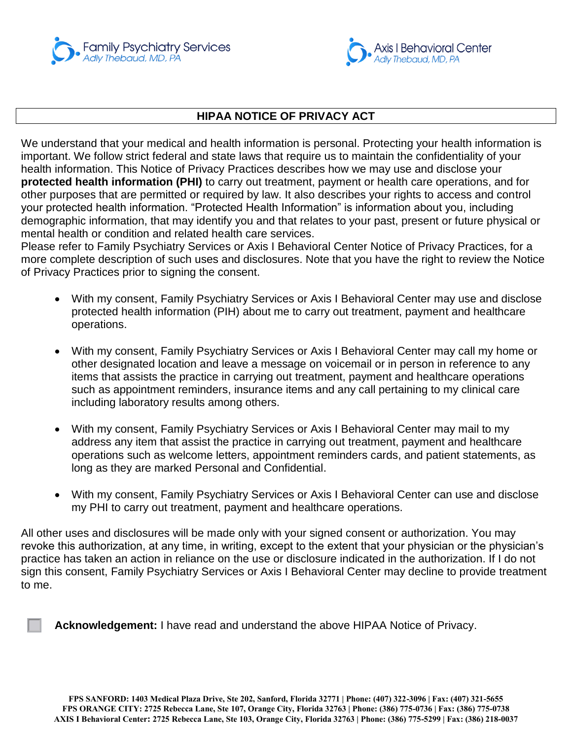



#### $\overline{a}$ **HIPAA NOTICE OF PRIVACY ACT**

We understand that your medical and health information is personal. Protecting your health information is important. We follow strict federal and state laws that require us to maintain the confidentiality of your health information. This Notice of Privacy Practices describes how we may use and disclose your **protected health information (PHI)** to carry out treatment, payment or health care operations, and for other purposes that are permitted or required by law. It also describes your rights to access and control your protected health information. "Protected Health Information" is information about you, including demographic information, that may identify you and that relates to your past, present or future physical or mental health or condition and related health care services.

Please refer to Family Psychiatry Services or Axis I Behavioral Center Notice of Privacy Practices, for a more complete description of such uses and disclosures. Note that you have the right to review the Notice of Privacy Practices prior to signing the consent.

- With my consent, Family Psychiatry Services or Axis I Behavioral Center may use and disclose protected health information (PIH) about me to carry out treatment, payment and healthcare operations.
- With my consent, Family Psychiatry Services or Axis I Behavioral Center may call my home or other designated location and leave a message on voicemail or in person in reference to any items that assists the practice in carrying out treatment, payment and healthcare operations such as appointment reminders, insurance items and any call pertaining to my clinical care including laboratory results among others.
- With my consent, Family Psychiatry Services or Axis I Behavioral Center may mail to my address any item that assist the practice in carrying out treatment, payment and healthcare operations such as welcome letters, appointment reminders cards, and patient statements, as long as they are marked Personal and Confidential.
- With my consent, Family Psychiatry Services or Axis I Behavioral Center can use and disclose my PHI to carry out treatment, payment and healthcare operations.

All other uses and disclosures will be made only with your signed consent or authorization. You may revoke this authorization, at any time, in writing, except to the extent that your physician or the physician's practice has taken an action in reliance on the use or disclosure indicated in the authorization. If I do not sign this consent, Family Psychiatry Services or Axis I Behavioral Center may decline to provide treatment to me.

**Acknowledgement:** I have read and understand the above HIPAA Notice of Privacy.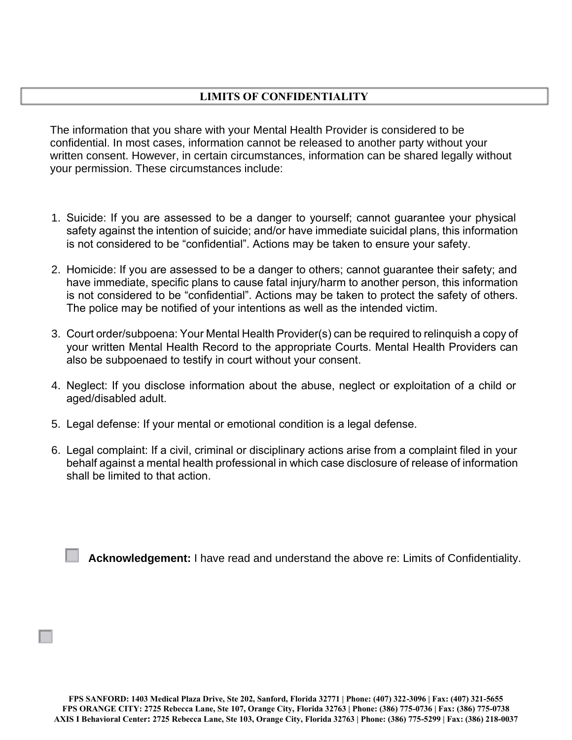



### **LIMITS OF CONFIDENTIALITY**

The information that you share with your Mental Health Provider is considered to be confidential. In most cases, information cannot be released to another party without your written consent. However, in certain circumstances, information can be shared legally without your permission. These circumstances include:

- 1. Suicide: If you are assessed to be a danger to yourself; cannot guarantee your physical safety against the intention of suicide; and/or have immediate suicidal plans, this information is not considered to be "confidential". Actions may be taken to ensure your safety.
- 2. Homicide: If you are assessed to be a danger to others; cannot guarantee their safety; and have immediate, specific plans to cause fatal injury/harm to another person, this information is not considered to be "confidential". Actions may be taken to protect the safety of others. The police may be notified of your intentions as well as the intended victim.
- 3. Court order/subpoena: Your Mental Health Provider(s) can be required to relinquish a copy of your written Mental Health Record to the appropriate Courts. Mental Health Providers can also be subpoenaed to testify in court without your consent.
- 4. Neglect: If you disclose information about the abuse, neglect or exploitation of a child or aged/disabled adult.
- 5. Legal defense: If your mental or emotional condition is a legal defense.
- 6. Legal complaint: If a civil, criminal or disciplinary actions arise from a complaint filed in your behalf against a mental health professional in which case disclosure of release of information shall be limited to that action.

**Acknowledgement:** I have read and understand the above re: Limits of Confidentiality.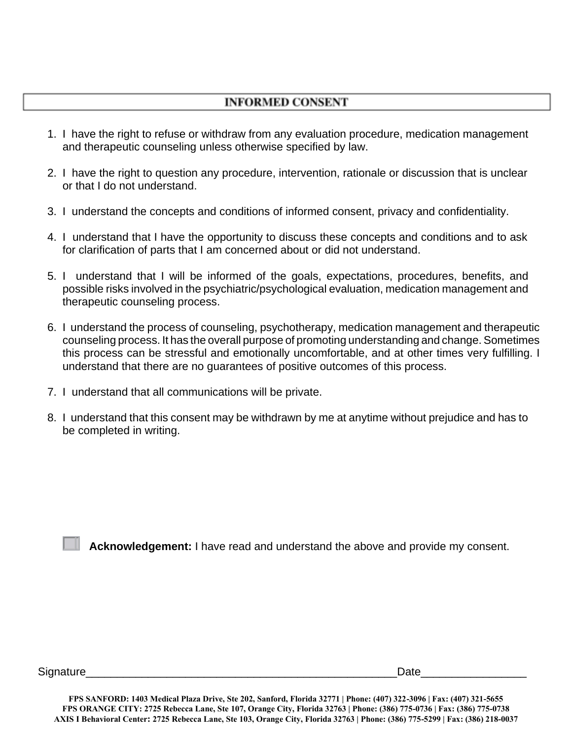



## **INFORMED CONSENT**

- 1. I have the right to refuse or withdraw from any evaluation procedure, medication management and therapeutic counseling unless otherwise specified by law.
- 2. I have the right to question any procedure, intervention, rationale or discussion that is unclear or that I do not understand.
- 3. I understand the concepts and conditions of informed consent, privacy and confidentiality.
- 4. I understand that I have the opportunity to discuss these concepts and conditions and to ask for clarification of parts that I am concerned about or did not understand.
- 5. I understand that I will be informed of the goals, expectations, procedures, benefits, and possible risks involved in the psychiatric/psychological evaluation, medication management and therapeutic counseling process.
- 6. I understand the process of counseling, psychotherapy, medication management and therapeutic counseling process. It has the overall purpose of promoting understanding and change. Sometimes this process can be stressful and emotionally uncomfortable, and at other times very fulfilling. I understand that there are no guarantees of positive outcomes of this process.
- 7. I understand that all communications will be private.
- 8. I understand that this consent may be withdrawn by me at anytime without prejudice and has to be completed in writing.

**Acknowledgement:** I have read and understand the above and provide my consent.

Signature\_\_\_\_\_\_\_\_\_\_\_\_\_\_\_\_\_\_\_\_\_\_\_\_\_\_\_\_\_\_\_\_\_\_\_\_\_\_\_\_\_\_\_\_\_\_\_\_\_\_Date\_\_\_\_\_\_\_\_\_\_\_\_\_\_\_\_\_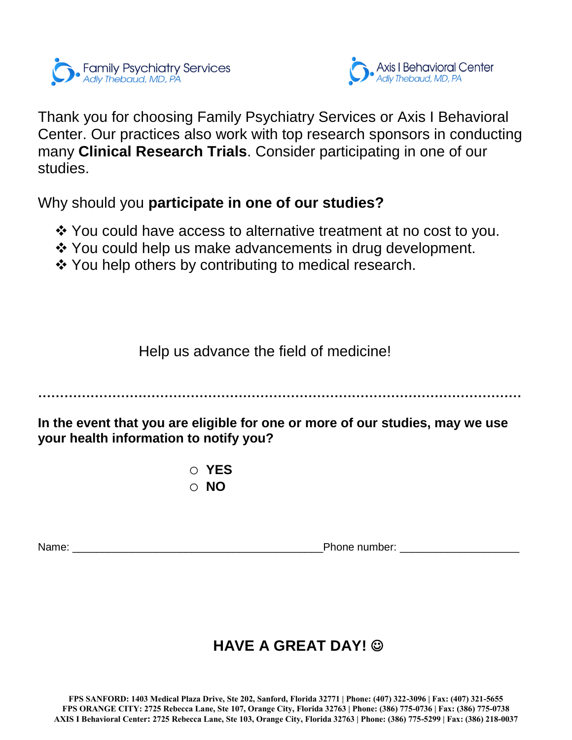



Thank you for choosing Family Psychiatry Services or Axis I Behavioral Center. Our practices also work with top research sponsors in conducting many **Clinical Research Trials**. Consider participating in one of our studies.

Why should you **participate in one of our studies?**

- You could have access to alternative treatment at no cost to you.
- ❖ You could help us make advancements in drug development.
- ❖ You help others by contributing to medical research.

Help us advance the field of medicine!

**…………………………………………………………………………………………………**

**In the event that you are eligible for one or more of our studies, may we use your health information to notify you?**

> o **YES** o **NO**

Name: \_\_\_\_\_\_\_\_\_\_\_\_\_\_\_\_\_\_\_\_\_\_\_\_\_\_\_\_\_\_\_\_\_\_\_\_\_\_\_\_\_\_Phone number: \_\_\_\_\_\_\_\_\_\_\_\_\_\_\_\_\_\_\_\_

# **HAVE A GREAT DAY!**